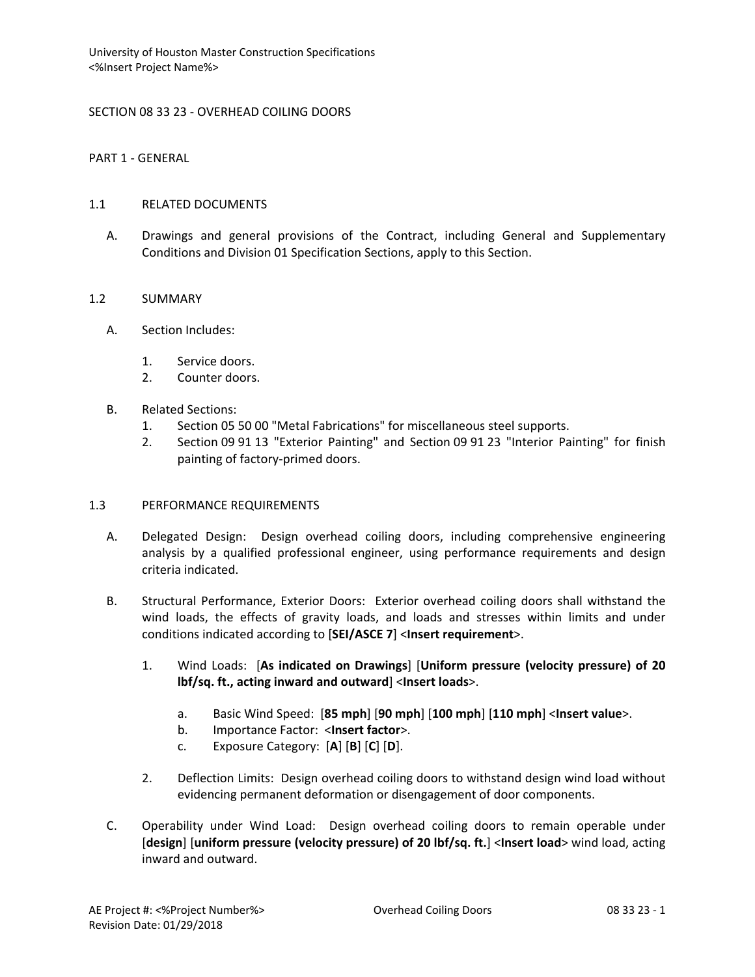# SECTION 08 33 23 - OVERHEAD COILING DOORS

PART 1 - GENERAL

### 1.1 RELATED DOCUMENTS

A. Drawings and general provisions of the Contract, including General and Supplementary Conditions and Division 01 Specification Sections, apply to this Section.

### 1.2 SUMMARY

- A. Section Includes:
	- 1. Service doors.
	- 2. Counter doors.
- B. Related Sections:
	- 1. Section 05 50 00 "Metal Fabrications" for miscellaneous steel supports.
	- 2. Section 09 91 13 "Exterior Painting" and Section 09 91 23 "Interior Painting" for finish painting of factory-primed doors.

# 1.3 PERFORMANCE REQUIREMENTS

- A. Delegated Design: Design overhead coiling doors, including comprehensive engineering analysis by a qualified professional engineer, using performance requirements and design criteria indicated.
- B. Structural Performance, Exterior Doors: Exterior overhead coiling doors shall withstand the wind loads, the effects of gravity loads, and loads and stresses within limits and under conditions indicated according to [**SEI/ASCE 7**] <**Insert requirement**>.
	- 1. Wind Loads: [**As indicated on Drawings**] [**Uniform pressure (velocity pressure) of 20 lbf/sq. ft., acting inward and outward**] <**Insert loads**>.
		- a. Basic Wind Speed: [**85 mph**] [**90 mph**] [**100 mph**] [**110 mph**] <**Insert value**>.
		- b. Importance Factor: <**Insert factor**>.
		- c. Exposure Category: [**A**] [**B**] [**C**] [**D**].
	- 2. Deflection Limits: Design overhead coiling doors to withstand design wind load without evidencing permanent deformation or disengagement of door components.
- C. Operability under Wind Load: Design overhead coiling doors to remain operable under [**design**] [**uniform pressure (velocity pressure) of 20 lbf/sq. ft.**] <**Insert load**> wind load, acting inward and outward.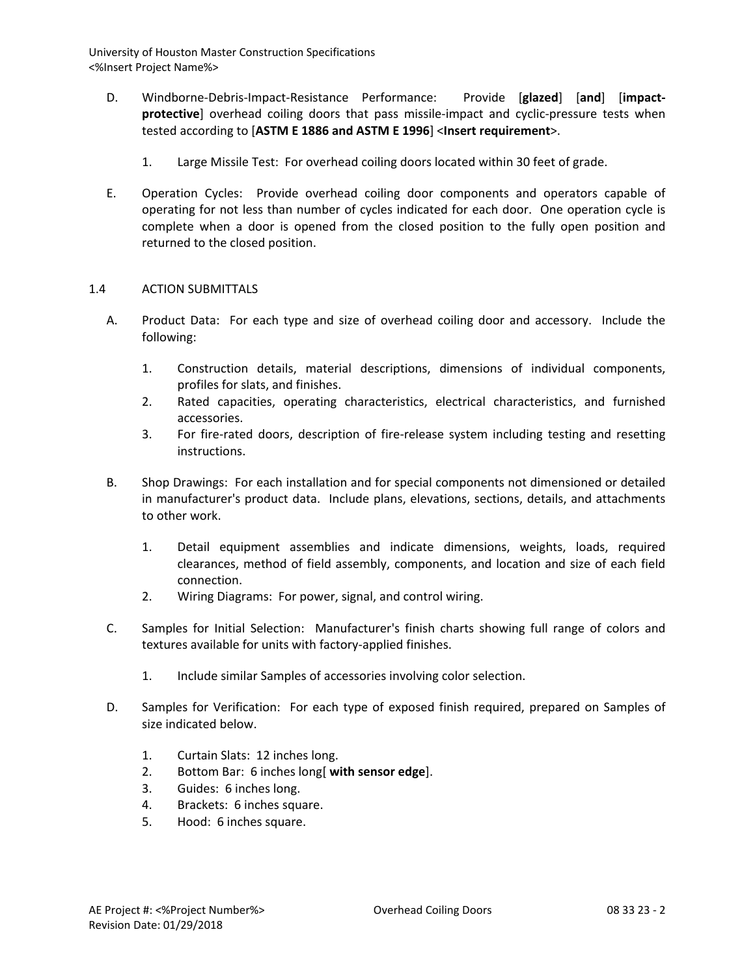- D. Windborne-Debris-Impact-Resistance Performance: Provide [**glazed**] [**and**] [**impactprotective**] overhead coiling doors that pass missile-impact and cyclic-pressure tests when tested according to [**ASTM E 1886 and ASTM E 1996**] <**Insert requirement**>.
	- 1. Large Missile Test: For overhead coiling doors located within 30 feet of grade.
- E. Operation Cycles: Provide overhead coiling door components and operators capable of operating for not less than number of cycles indicated for each door. One operation cycle is complete when a door is opened from the closed position to the fully open position and returned to the closed position.

### 1.4 ACTION SUBMITTALS

- A. Product Data: For each type and size of overhead coiling door and accessory. Include the following:
	- 1. Construction details, material descriptions, dimensions of individual components, profiles for slats, and finishes.
	- 2. Rated capacities, operating characteristics, electrical characteristics, and furnished accessories.
	- 3. For fire-rated doors, description of fire-release system including testing and resetting instructions.
- B. Shop Drawings: For each installation and for special components not dimensioned or detailed in manufacturer's product data. Include plans, elevations, sections, details, and attachments to other work.
	- 1. Detail equipment assemblies and indicate dimensions, weights, loads, required clearances, method of field assembly, components, and location and size of each field connection.
	- 2. Wiring Diagrams: For power, signal, and control wiring.
- C. Samples for Initial Selection: Manufacturer's finish charts showing full range of colors and textures available for units with factory-applied finishes.
	- 1. Include similar Samples of accessories involving color selection.
- D. Samples for Verification: For each type of exposed finish required, prepared on Samples of size indicated below.
	- 1. Curtain Slats: 12 inches long.
	- 2. Bottom Bar: 6 inches long[ **with sensor edge**].
	- 3. Guides: 6 inches long.
	- 4. Brackets: 6 inches square.
	- 5. Hood: 6 inches square.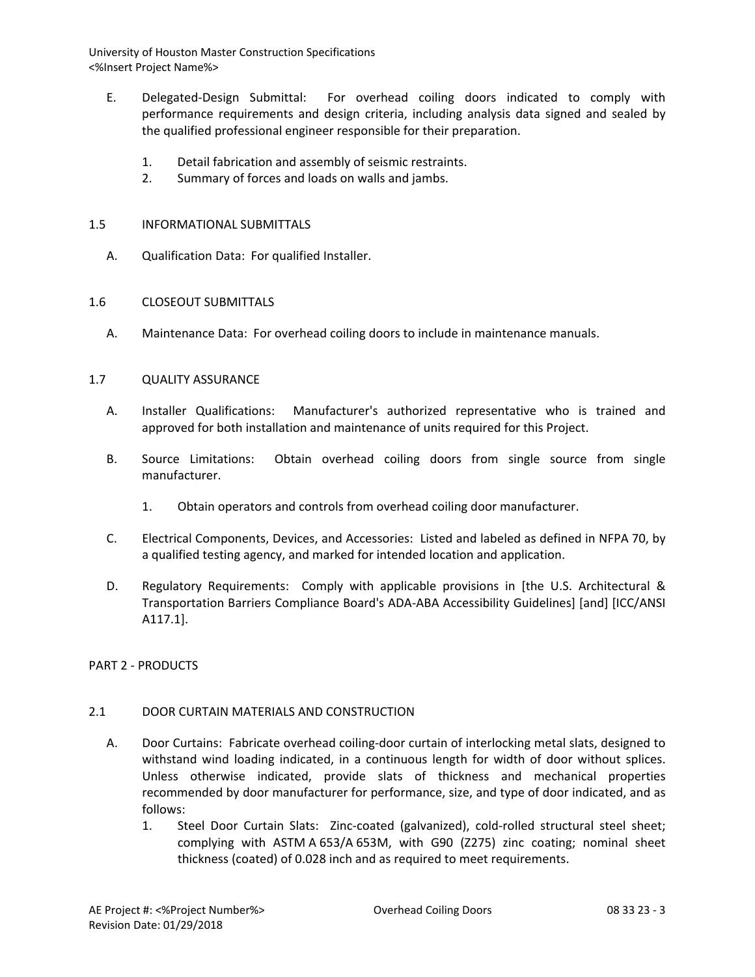- E. Delegated-Design Submittal: For overhead coiling doors indicated to comply with performance requirements and design criteria, including analysis data signed and sealed by the qualified professional engineer responsible for their preparation.
	- 1. Detail fabrication and assembly of seismic restraints.
	- 2. Summary of forces and loads on walls and jambs.

### 1.5 INFORMATIONAL SUBMITTALS

A. Qualification Data: For qualified Installer.

# 1.6 CLOSEOUT SUBMITTALS

A. Maintenance Data: For overhead coiling doors to include in maintenance manuals.

# 1.7 QUALITY ASSURANCE

- A. Installer Qualifications: Manufacturer's authorized representative who is trained and approved for both installation and maintenance of units required for this Project.
- B. Source Limitations: Obtain overhead coiling doors from single source from single manufacturer.
	- 1. Obtain operators and controls from overhead coiling door manufacturer.
- C. Electrical Components, Devices, and Accessories: Listed and labeled as defined in NFPA 70, by a qualified testing agency, and marked for intended location and application.
- D. Regulatory Requirements: Comply with applicable provisions in [the U.S. Architectural & Transportation Barriers Compliance Board's ADA-ABA Accessibility Guidelines] [and] [ICC/ANSI A117.1].

# PART 2 - PRODUCTS

# 2.1 DOOR CURTAIN MATERIALS AND CONSTRUCTION

- A. Door Curtains: Fabricate overhead coiling-door curtain of interlocking metal slats, designed to withstand wind loading indicated, in a continuous length for width of door without splices. Unless otherwise indicated, provide slats of thickness and mechanical properties recommended by door manufacturer for performance, size, and type of door indicated, and as follows:
	- 1. Steel Door Curtain Slats: Zinc-coated (galvanized), cold-rolled structural steel sheet; complying with ASTM A 653/A 653M, with G90 (Z275) zinc coating; nominal sheet thickness (coated) of 0.028 inch and as required to meet requirements.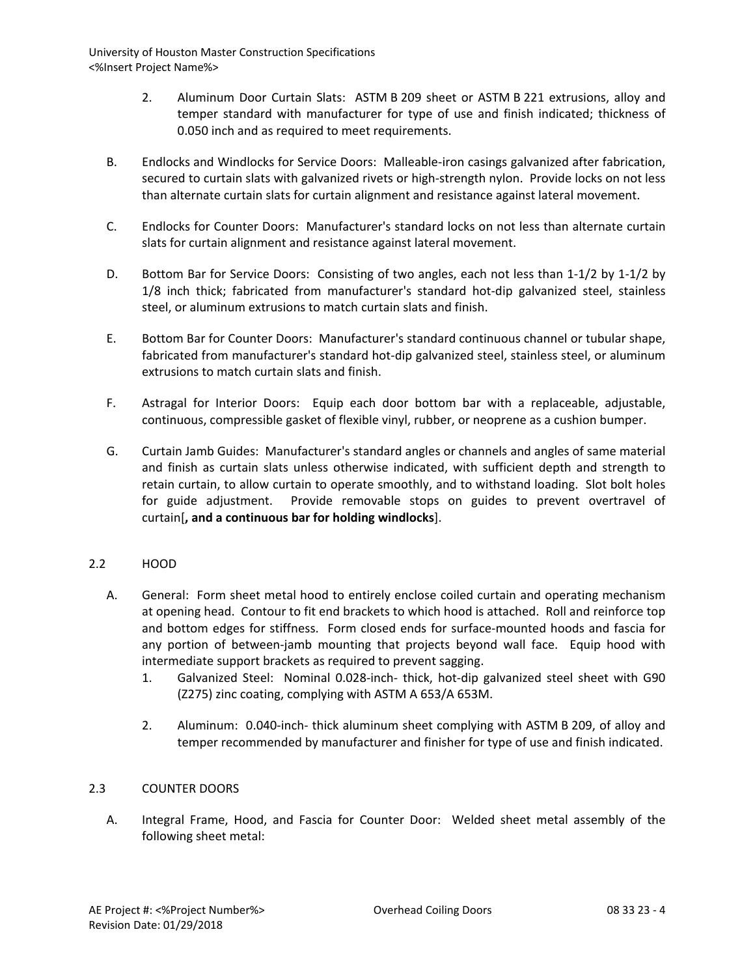- 2. Aluminum Door Curtain Slats: ASTM B 209 sheet or ASTM B 221 extrusions, alloy and temper standard with manufacturer for type of use and finish indicated; thickness of 0.050 inch and as required to meet requirements.
- B. Endlocks and Windlocks for Service Doors: Malleable-iron casings galvanized after fabrication, secured to curtain slats with galvanized rivets or high-strength nylon. Provide locks on not less than alternate curtain slats for curtain alignment and resistance against lateral movement.
- C. Endlocks for Counter Doors: Manufacturer's standard locks on not less than alternate curtain slats for curtain alignment and resistance against lateral movement.
- D. Bottom Bar for Service Doors: Consisting of two angles, each not less than 1-1/2 by 1-1/2 by 1/8 inch thick; fabricated from manufacturer's standard hot-dip galvanized steel, stainless steel, or aluminum extrusions to match curtain slats and finish.
- E. Bottom Bar for Counter Doors: Manufacturer's standard continuous channel or tubular shape, fabricated from manufacturer's standard hot-dip galvanized steel, stainless steel, or aluminum extrusions to match curtain slats and finish.
- F. Astragal for Interior Doors: Equip each door bottom bar with a replaceable, adjustable, continuous, compressible gasket of flexible vinyl, rubber, or neoprene as a cushion bumper.
- G. Curtain Jamb Guides: Manufacturer's standard angles or channels and angles of same material and finish as curtain slats unless otherwise indicated, with sufficient depth and strength to retain curtain, to allow curtain to operate smoothly, and to withstand loading. Slot bolt holes for guide adjustment. Provide removable stops on guides to prevent overtravel of curtain[**, and a continuous bar for holding windlocks**].

# 2.2 HOOD

- A. General: Form sheet metal hood to entirely enclose coiled curtain and operating mechanism at opening head. Contour to fit end brackets to which hood is attached. Roll and reinforce top and bottom edges for stiffness. Form closed ends for surface-mounted hoods and fascia for any portion of between-jamb mounting that projects beyond wall face. Equip hood with intermediate support brackets as required to prevent sagging.
	- 1. Galvanized Steel: Nominal 0.028-inch- thick, hot-dip galvanized steel sheet with G90 (Z275) zinc coating, complying with ASTM A 653/A 653M.
	- 2. Aluminum: 0.040-inch- thick aluminum sheet complying with ASTM B 209, of alloy and temper recommended by manufacturer and finisher for type of use and finish indicated.

# 2.3 COUNTER DOORS

A. Integral Frame, Hood, and Fascia for Counter Door: Welded sheet metal assembly of the following sheet metal: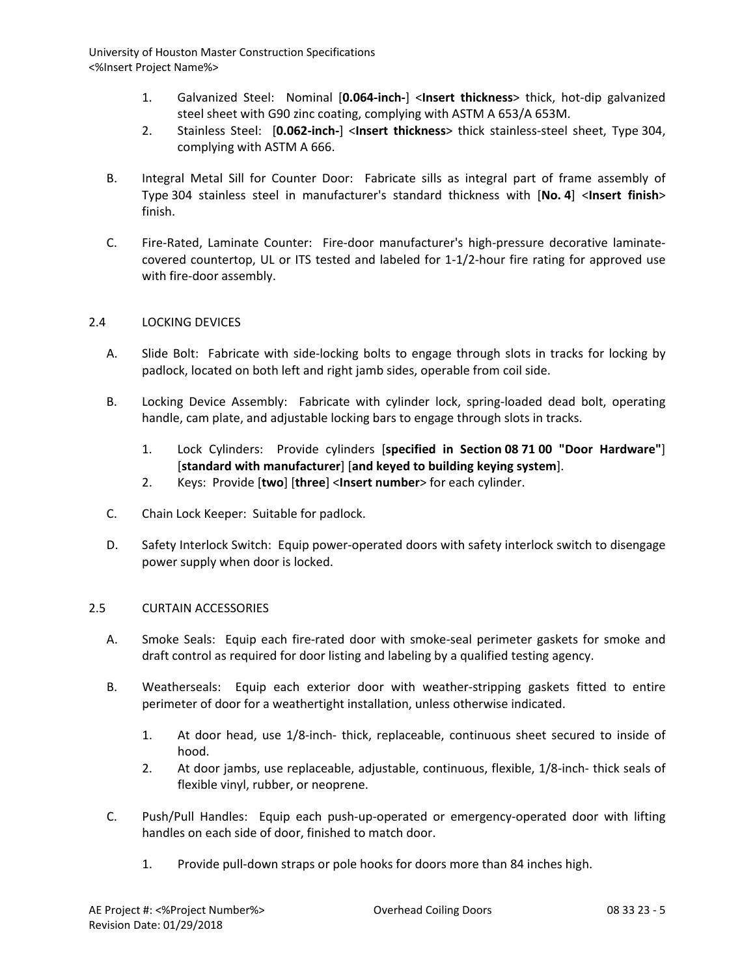- 1. Galvanized Steel: Nominal [**0.064-inch-**] <**Insert thickness**> thick, hot-dip galvanized steel sheet with G90 zinc coating, complying with ASTM A 653/A 653M.
- 2. Stainless Steel: [**0.062-inch-**] <**Insert thickness**> thick stainless-steel sheet, Type 304, complying with ASTM A 666.
- B. Integral Metal Sill for Counter Door: Fabricate sills as integral part of frame assembly of Type 304 stainless steel in manufacturer's standard thickness with [**No. 4**] <**Insert finish**> finish.
- C. Fire-Rated, Laminate Counter: Fire-door manufacturer's high-pressure decorative laminatecovered countertop, UL or ITS tested and labeled for 1-1/2-hour fire rating for approved use with fire-door assembly.

# 2.4 LOCKING DEVICES

- A. Slide Bolt: Fabricate with side-locking bolts to engage through slots in tracks for locking by padlock, located on both left and right jamb sides, operable from coil side.
- B. Locking Device Assembly: Fabricate with cylinder lock, spring-loaded dead bolt, operating handle, cam plate, and adjustable locking bars to engage through slots in tracks.
	- 1. Lock Cylinders: Provide cylinders [**specified in Section 08 71 00 "Door Hardware"**] [**standard with manufacturer**] [**and keyed to building keying system**].
	- 2. Keys: Provide [**two**] [**three**] <**Insert number**> for each cylinder.
- C. Chain Lock Keeper: Suitable for padlock.
- D. Safety Interlock Switch: Equip power-operated doors with safety interlock switch to disengage power supply when door is locked.

# 2.5 CURTAIN ACCESSORIES

- A. Smoke Seals: Equip each fire-rated door with smoke-seal perimeter gaskets for smoke and draft control as required for door listing and labeling by a qualified testing agency.
- B. Weatherseals: Equip each exterior door with weather-stripping gaskets fitted to entire perimeter of door for a weathertight installation, unless otherwise indicated.
	- 1. At door head, use 1/8-inch- thick, replaceable, continuous sheet secured to inside of hood.
	- 2. At door jambs, use replaceable, adjustable, continuous, flexible, 1/8-inch- thick seals of flexible vinyl, rubber, or neoprene.
- C. Push/Pull Handles: Equip each push-up-operated or emergency-operated door with lifting handles on each side of door, finished to match door.
	- 1. Provide pull-down straps or pole hooks for doors more than 84 inches high.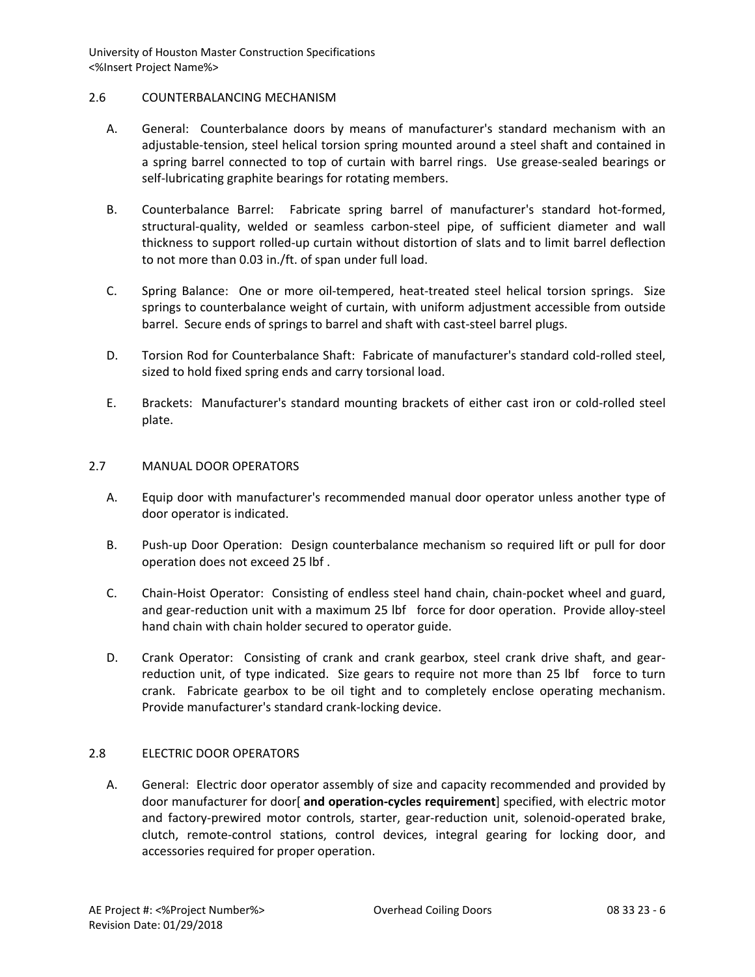### 2.6 COUNTERBALANCING MECHANISM

- A. General: Counterbalance doors by means of manufacturer's standard mechanism with an adjustable-tension, steel helical torsion spring mounted around a steel shaft and contained in a spring barrel connected to top of curtain with barrel rings. Use grease-sealed bearings or self-lubricating graphite bearings for rotating members.
- B. Counterbalance Barrel: Fabricate spring barrel of manufacturer's standard hot-formed, structural-quality, welded or seamless carbon-steel pipe, of sufficient diameter and wall thickness to support rolled-up curtain without distortion of slats and to limit barrel deflection to not more than 0.03 in./ft. of span under full load.
- C. Spring Balance: One or more oil-tempered, heat-treated steel helical torsion springs. Size springs to counterbalance weight of curtain, with uniform adjustment accessible from outside barrel. Secure ends of springs to barrel and shaft with cast-steel barrel plugs.
- D. Torsion Rod for Counterbalance Shaft: Fabricate of manufacturer's standard cold-rolled steel, sized to hold fixed spring ends and carry torsional load.
- E. Brackets: Manufacturer's standard mounting brackets of either cast iron or cold-rolled steel plate.

### 2.7 MANUAL DOOR OPERATORS

- A. Equip door with manufacturer's recommended manual door operator unless another type of door operator is indicated.
- B. Push-up Door Operation: Design counterbalance mechanism so required lift or pull for door operation does not exceed 25 lbf .
- C. Chain-Hoist Operator: Consisting of endless steel hand chain, chain-pocket wheel and guard, and gear-reduction unit with a maximum 25 lbf force for door operation. Provide alloy-steel hand chain with chain holder secured to operator guide.
- D. Crank Operator: Consisting of crank and crank gearbox, steel crank drive shaft, and gearreduction unit, of type indicated. Size gears to require not more than 25 lbf force to turn crank. Fabricate gearbox to be oil tight and to completely enclose operating mechanism. Provide manufacturer's standard crank-locking device.

# 2.8 ELECTRIC DOOR OPERATORS

A. General: Electric door operator assembly of size and capacity recommended and provided by door manufacturer for door[ **and operation-cycles requirement**] specified, with electric motor and factory-prewired motor controls, starter, gear-reduction unit, solenoid-operated brake, clutch, remote-control stations, control devices, integral gearing for locking door, and accessories required for proper operation.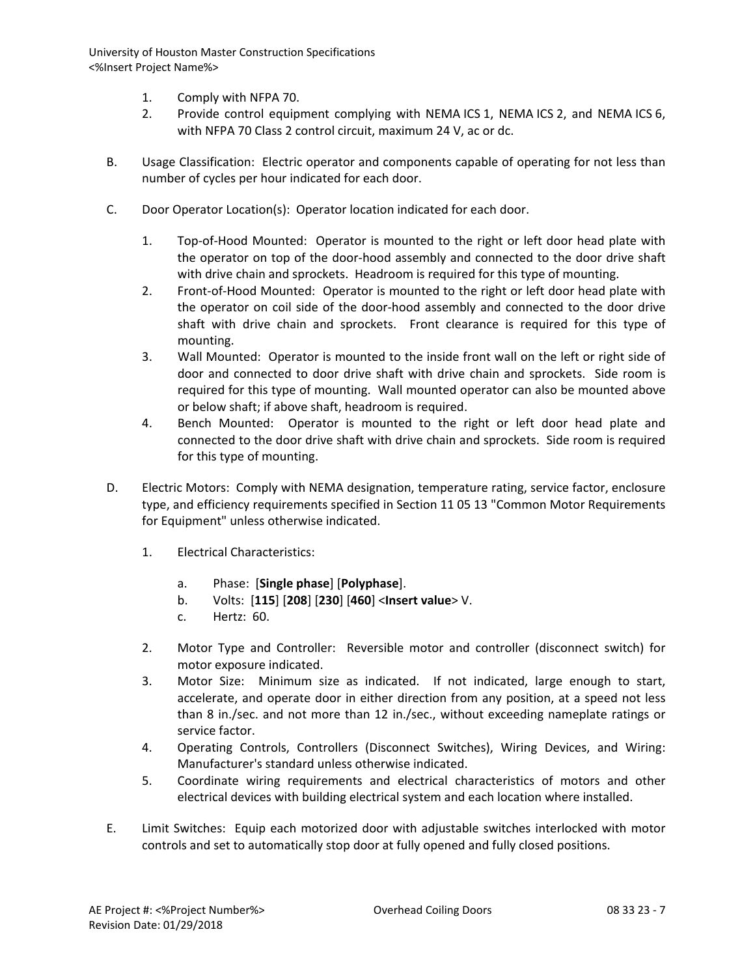- 1. Comply with NFPA 70.
- 2. Provide control equipment complying with NEMA ICS 1, NEMA ICS 2, and NEMA ICS 6, with NFPA 70 Class 2 control circuit, maximum 24 V, ac or dc.
- B. Usage Classification: Electric operator and components capable of operating for not less than number of cycles per hour indicated for each door.
- C. Door Operator Location(s): Operator location indicated for each door.
	- 1. Top-of-Hood Mounted: Operator is mounted to the right or left door head plate with the operator on top of the door-hood assembly and connected to the door drive shaft with drive chain and sprockets. Headroom is required for this type of mounting.
	- 2. Front-of-Hood Mounted: Operator is mounted to the right or left door head plate with the operator on coil side of the door-hood assembly and connected to the door drive shaft with drive chain and sprockets. Front clearance is required for this type of mounting.
	- 3. Wall Mounted: Operator is mounted to the inside front wall on the left or right side of door and connected to door drive shaft with drive chain and sprockets. Side room is required for this type of mounting. Wall mounted operator can also be mounted above or below shaft; if above shaft, headroom is required.
	- 4. Bench Mounted: Operator is mounted to the right or left door head plate and connected to the door drive shaft with drive chain and sprockets. Side room is required for this type of mounting.
- D. Electric Motors: Comply with NEMA designation, temperature rating, service factor, enclosure type, and efficiency requirements specified in Section 11 05 13 "Common Motor Requirements for Equipment" unless otherwise indicated.
	- 1. Electrical Characteristics:
		- a. Phase: [**Single phase**] [**Polyphase**].
		- b. Volts: [**115**] [**208**] [**230**] [**460**] <**Insert value**> V.
		- c. Hertz: 60.
	- 2. Motor Type and Controller: Reversible motor and controller (disconnect switch) for motor exposure indicated.
	- 3. Motor Size: Minimum size as indicated. If not indicated, large enough to start, accelerate, and operate door in either direction from any position, at a speed not less than 8 in./sec. and not more than 12 in./sec., without exceeding nameplate ratings or service factor.
	- 4. Operating Controls, Controllers (Disconnect Switches), Wiring Devices, and Wiring: Manufacturer's standard unless otherwise indicated.
	- 5. Coordinate wiring requirements and electrical characteristics of motors and other electrical devices with building electrical system and each location where installed.
- E. Limit Switches: Equip each motorized door with adjustable switches interlocked with motor controls and set to automatically stop door at fully opened and fully closed positions.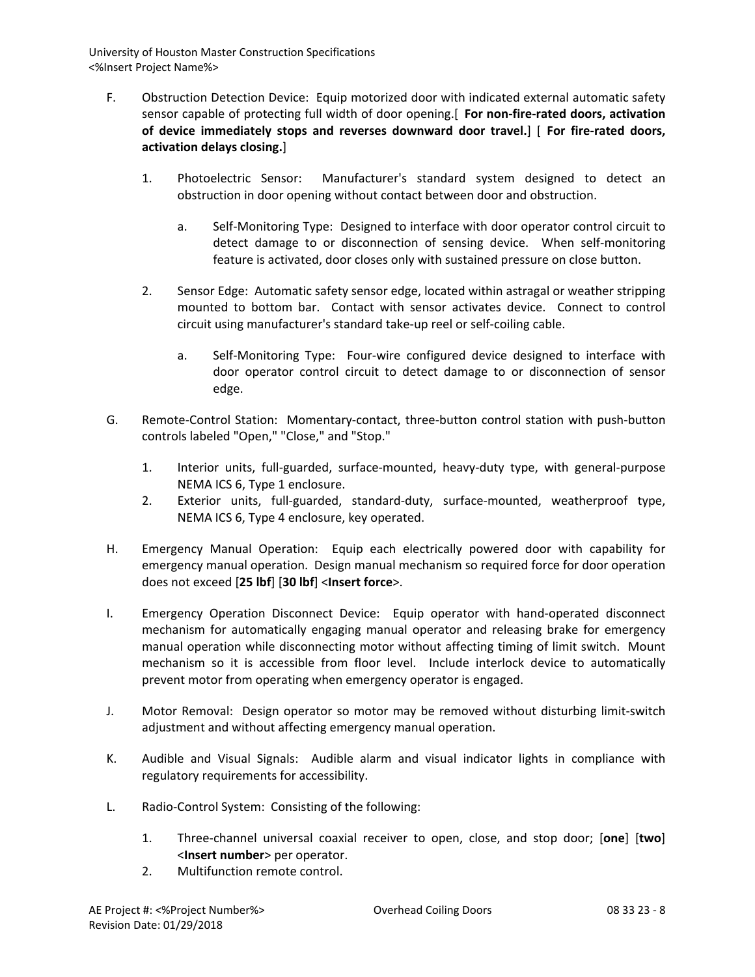- F. Obstruction Detection Device: Equip motorized door with indicated external automatic safety sensor capable of protecting full width of door opening.[ **For non-fire-rated doors, activation of device immediately stops and reverses downward door travel.**] [ **For fire-rated doors, activation delays closing.**]
	- 1. Photoelectric Sensor: Manufacturer's standard system designed to detect an obstruction in door opening without contact between door and obstruction.
		- a. Self-Monitoring Type: Designed to interface with door operator control circuit to detect damage to or disconnection of sensing device. When self-monitoring feature is activated, door closes only with sustained pressure on close button.
	- 2. Sensor Edge: Automatic safety sensor edge, located within astragal or weather stripping mounted to bottom bar. Contact with sensor activates device. Connect to control circuit using manufacturer's standard take-up reel or self-coiling cable.
		- a. Self-Monitoring Type: Four-wire configured device designed to interface with door operator control circuit to detect damage to or disconnection of sensor edge.
- G. Remote-Control Station: Momentary-contact, three-button control station with push-button controls labeled "Open," "Close," and "Stop."
	- 1. Interior units, full-guarded, surface-mounted, heavy-duty type, with general-purpose NEMA ICS 6, Type 1 enclosure.
	- 2. Exterior units, full-guarded, standard-duty, surface-mounted, weatherproof type, NEMA ICS 6, Type 4 enclosure, key operated.
- H. Emergency Manual Operation: Equip each electrically powered door with capability for emergency manual operation. Design manual mechanism so required force for door operation does not exceed [**25 lbf**] [**30 lbf**] <**Insert force**>.
- I. Emergency Operation Disconnect Device: Equip operator with hand-operated disconnect mechanism for automatically engaging manual operator and releasing brake for emergency manual operation while disconnecting motor without affecting timing of limit switch. Mount mechanism so it is accessible from floor level. Include interlock device to automatically prevent motor from operating when emergency operator is engaged.
- J. Motor Removal: Design operator so motor may be removed without disturbing limit-switch adjustment and without affecting emergency manual operation.
- K. Audible and Visual Signals: Audible alarm and visual indicator lights in compliance with regulatory requirements for accessibility.
- L. Radio-Control System: Consisting of the following:
	- 1. Three-channel universal coaxial receiver to open, close, and stop door; [**one**] [**two**] <**Insert number**> per operator.
	- 2. Multifunction remote control.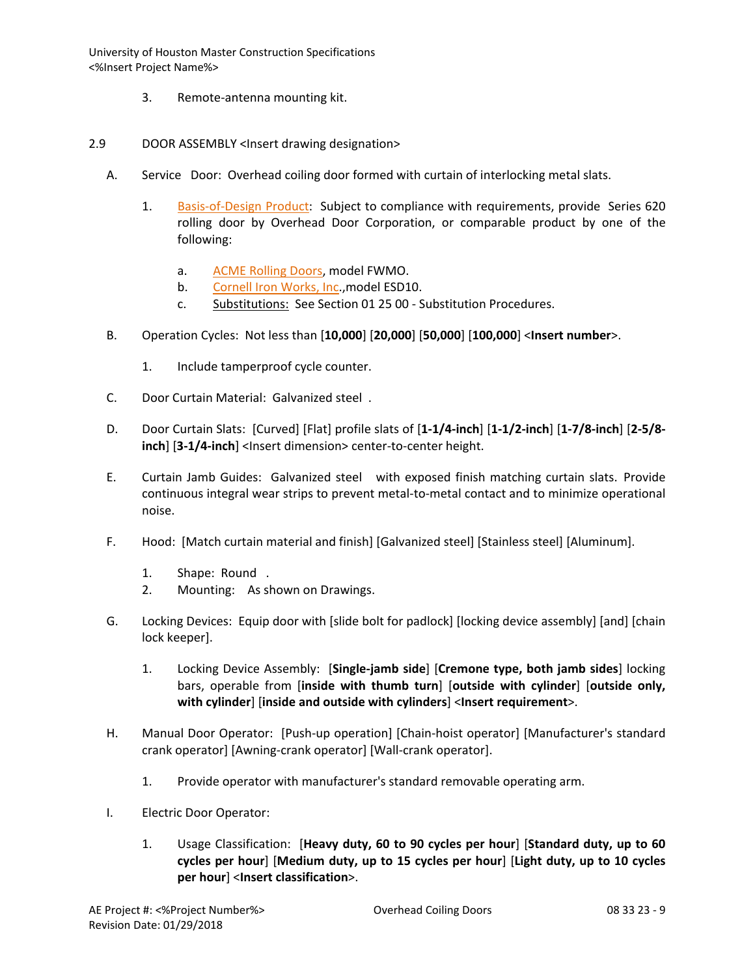3. Remote-antenna mounting kit.

# 2.9 DOOR ASSEMBLY <Insert drawing designation>

- A. Service Door: Overhead coiling door formed with curtain of interlocking metal slats.
	- 1. [Basis-of-Design Product:](http://www.specagent.com/LookUp/?ulid=21&mf=04&src=wd) Subject to compliance with requirements, provide Series 620 rolling door by Overhead Door Corporation, or comparable product by one of the following:
		- a. [ACME Rolling Doors,](http://www.specagent.com/LookUp/?uid=123456789506&mf=04&src=wd) model FWMO.
		- b. [Cornell Iron Works, Inc.](http://www.specagent.com/LookUp/?uid=123456789512&mf=04&src=wd),model ESD10.
		- c. Substitutions: See Section 01 25 00 Substitution Procedures.
- B. Operation Cycles: Not less than [**10,000**] [**20,000**] [**50,000**] [**100,000**] <**Insert number**>.
	- 1. Include tamperproof cycle counter.
- C. Door Curtain Material: Galvanized steel .
- D. Door Curtain Slats: [Curved] [Flat] profile slats of [**1-1/4-inch**] [**1-1/2-inch**] [**1-7/8-inch**] [**2-5/8 inch**] [**3-1/4-inch**] <Insert dimension> center-to-center height.
- E. Curtain Jamb Guides: Galvanized steel with exposed finish matching curtain slats. Provide continuous integral wear strips to prevent metal-to-metal contact and to minimize operational noise.
- F. Hood: [Match curtain material and finish] [Galvanized steel] [Stainless steel] [Aluminum].
	- 1. Shape: Round .
	- 2. Mounting: As shown on Drawings.
- G. Locking Devices: Equip door with [slide bolt for padlock] [locking device assembly] [and] [chain lock keeper].
	- 1. Locking Device Assembly: [**Single-jamb side**] [**Cremone type, both jamb sides**] locking bars, operable from [**inside with thumb turn**] [**outside with cylinder**] [**outside only, with cylinder**] [**inside and outside with cylinders**] <**Insert requirement**>.
- H. Manual Door Operator: [Push-up operation] [Chain-hoist operator] [Manufacturer's standard crank operator] [Awning-crank operator] [Wall-crank operator].
	- 1. Provide operator with manufacturer's standard removable operating arm.
- I. Electric Door Operator:
	- 1. Usage Classification: [**Heavy duty, 60 to 90 cycles per hour**] [**Standard duty, up to 60 cycles per hour**] [**Medium duty, up to 15 cycles per hour**] [**Light duty, up to 10 cycles per hour**] <**Insert classification**>.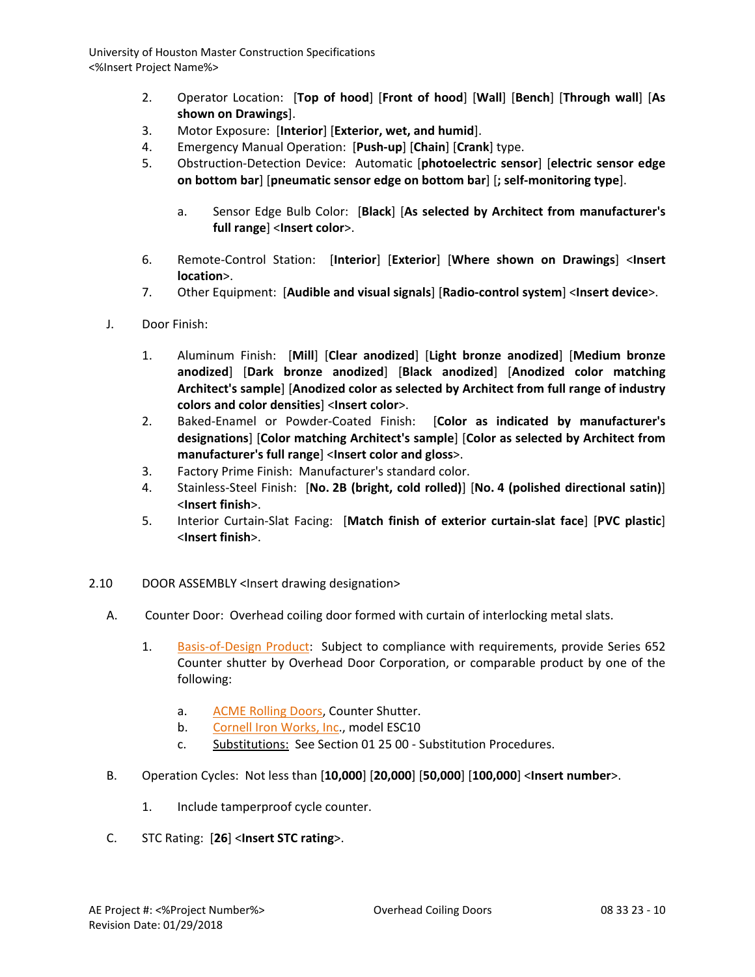- 2. Operator Location: [**Top of hood**] [**Front of hood**] [**Wall**] [**Bench**] [**Through wall**] [**As shown on Drawings**].
- 3. Motor Exposure: [**Interior**] [**Exterior, wet, and humid**].
- 4. Emergency Manual Operation: [**Push-up**] [**Chain**] [**Crank**] type.
- 5. Obstruction-Detection Device: Automatic [**photoelectric sensor**] [**electric sensor edge on bottom bar**] [**pneumatic sensor edge on bottom bar**] [**; self-monitoring type**].
	- a. Sensor Edge Bulb Color: [**Black**] [**As selected by Architect from manufacturer's full range**] <**Insert color**>.
- 6. Remote-Control Station: [**Interior**] [**Exterior**] [**Where shown on Drawings**] <**Insert location**>.
- 7. Other Equipment: [**Audible and visual signals**] [**Radio-control system**] <**Insert device**>.
- J. Door Finish:
	- 1. Aluminum Finish: [**Mill**] [**Clear anodized**] [**Light bronze anodized**] [**Medium bronze anodized**] [**Dark bronze anodized**] [**Black anodized**] [**Anodized color matching Architect's sample**] [**Anodized color as selected by Architect from full range of industry colors and color densities**] <**Insert color**>.
	- 2. Baked-Enamel or Powder-Coated Finish: [**Color as indicated by manufacturer's designations**] [**Color matching Architect's sample**] [**Color as selected by Architect from manufacturer's full range**] <**Insert color and gloss**>.
	- 3. Factory Prime Finish: Manufacturer's standard color.
	- 4. Stainless-Steel Finish: [**No. 2B (bright, cold rolled)**] [**No. 4 (polished directional satin)**] <**Insert finish**>.
	- 5. Interior Curtain-Slat Facing: [**Match finish of exterior curtain-slat face**] [**PVC plastic**] <**Insert finish**>.
- 2.10 DOOR ASSEMBLY <Insert drawing designation>
	- A. Counter Door: Overhead coiling door formed with curtain of interlocking metal slats.
		- 1. [Basis-of-Design Product:](http://www.specagent.com/LookUp/?ulid=21&mf=04&src=wd) Subject to compliance with requirements, provide Series 652 Counter shutter by Overhead Door Corporation, or comparable product by one of the following:
			- a. [ACME Rolling Doors,](http://www.specagent.com/LookUp/?uid=123456789506&mf=04&src=wd) Counter Shutter.
			- b. [Cornell Iron Works, Inc.](http://www.specagent.com/LookUp/?uid=123456789512&mf=04&src=wd), model ESC10
			- c. Substitutions: See Section 01 25 00 Substitution Procedures.
	- B. Operation Cycles: Not less than [**10,000**] [**20,000**] [**50,000**] [**100,000**] <**Insert number**>.
		- 1. Include tamperproof cycle counter.
	- C. STC Rating: [**26**] <**Insert STC rating**>.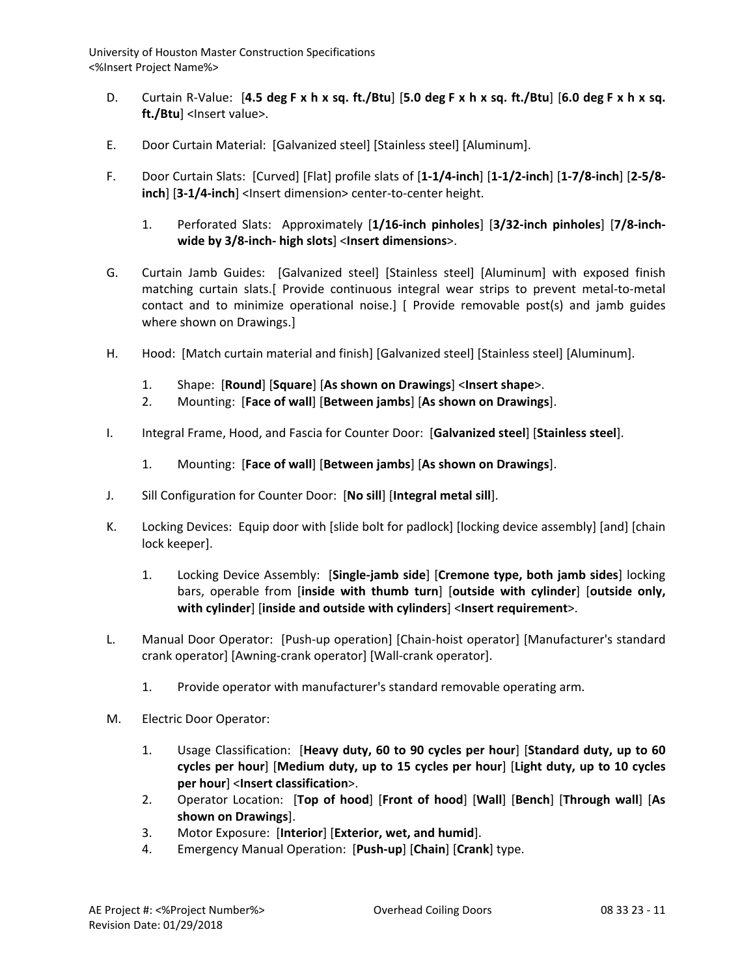- D. Curtain R-Value: [**4.5 deg F x h x sq. ft./Btu**] [**5.0 deg F x h x sq. ft./Btu**] [**6.0 deg F x h x sq. ft./Btu**] <Insert value>.
- E. Door Curtain Material: [Galvanized steel] [Stainless steel] [Aluminum].
- F. Door Curtain Slats: [Curved] [Flat] profile slats of [**1-1/4-inch**] [**1-1/2-inch**] [**1-7/8-inch**] [**2-5/8 inch**] [**3-1/4-inch**] <Insert dimension> center-to-center height.
	- 1. Perforated Slats: Approximately [**1/16-inch pinholes**] [**3/32-inch pinholes**] [**7/8-inchwide by 3/8-inch- high slots**] <**Insert dimensions**>.
- G. Curtain Jamb Guides: [Galvanized steel] [Stainless steel] [Aluminum] with exposed finish matching curtain slats.[ Provide continuous integral wear strips to prevent metal-to-metal contact and to minimize operational noise.] [ Provide removable post(s) and jamb guides where shown on Drawings.]
- H. Hood: [Match curtain material and finish] [Galvanized steel] [Stainless steel] [Aluminum].
	- 1. Shape: [**Round**] [**Square**] [**As shown on Drawings**] <**Insert shape**>.
	- 2. Mounting: [**Face of wall**] [**Between jambs**] [**As shown on Drawings**].
- I. Integral Frame, Hood, and Fascia for Counter Door: [**Galvanized steel**] [**Stainless steel**].
	- 1. Mounting: [**Face of wall**] [**Between jambs**] [**As shown on Drawings**].
- J. Sill Configuration for Counter Door: [**No sill**] [**Integral metal sill**].
- K. Locking Devices: Equip door with [slide bolt for padlock] [locking device assembly] [and] [chain lock keeper].
	- 1. Locking Device Assembly: [**Single-jamb side**] [**Cremone type, both jamb sides**] locking bars, operable from [**inside with thumb turn**] [**outside with cylinder**] [**outside only, with cylinder**] [**inside and outside with cylinders**] <**Insert requirement**>.
- L. Manual Door Operator: [Push-up operation] [Chain-hoist operator] [Manufacturer's standard crank operator] [Awning-crank operator] [Wall-crank operator].
	- 1. Provide operator with manufacturer's standard removable operating arm.
- M. Electric Door Operator:
	- 1. Usage Classification: [**Heavy duty, 60 to 90 cycles per hour**] [**Standard duty, up to 60 cycles per hour**] [**Medium duty, up to 15 cycles per hour**] [**Light duty, up to 10 cycles per hour**] <**Insert classification**>.
	- 2. Operator Location: [**Top of hood**] [**Front of hood**] [**Wall**] [**Bench**] [**Through wall**] [**As shown on Drawings**].
	- 3. Motor Exposure: [**Interior**] [**Exterior, wet, and humid**].
	- 4. Emergency Manual Operation: [**Push-up**] [**Chain**] [**Crank**] type.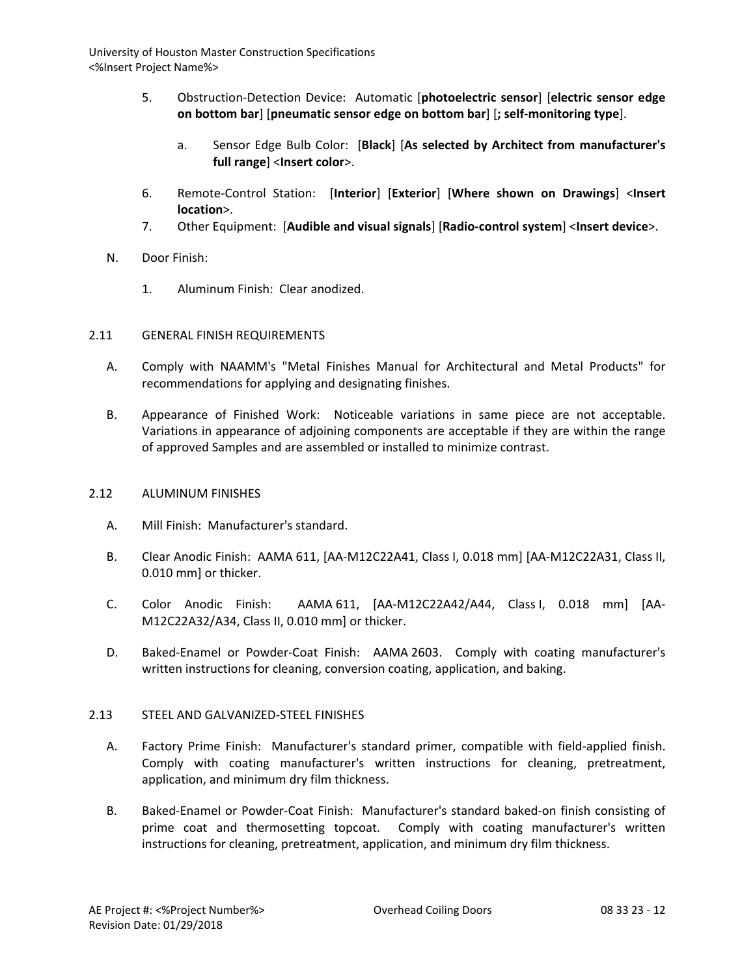- 5. Obstruction-Detection Device: Automatic [**photoelectric sensor**] [**electric sensor edge on bottom bar**] [**pneumatic sensor edge on bottom bar**] [**; self-monitoring type**].
	- a. Sensor Edge Bulb Color: [**Black**] [**As selected by Architect from manufacturer's full range**] <**Insert color**>.
- 6. Remote-Control Station: [**Interior**] [**Exterior**] [**Where shown on Drawings**] <**Insert location**>.
- 7. Other Equipment: [**Audible and visual signals**] [**Radio-control system**] <**Insert device**>.
- N. Door Finish:
	- 1. Aluminum Finish: Clear anodized.

# 2.11 GENERAL FINISH REQUIREMENTS

- A. Comply with NAAMM's "Metal Finishes Manual for Architectural and Metal Products" for recommendations for applying and designating finishes.
- B. Appearance of Finished Work: Noticeable variations in same piece are not acceptable. Variations in appearance of adjoining components are acceptable if they are within the range of approved Samples and are assembled or installed to minimize contrast.

#### 2.12 ALUMINUM FINISHES

- A. Mill Finish: Manufacturer's standard.
- B. Clear Anodic Finish: AAMA 611, [AA-M12C22A41, Class I, 0.018 mm] [AA-M12C22A31, Class II, 0.010 mm] or thicker.
- C. Color Anodic Finish: AAMA 611, [AA-M12C22A42/A44, Class I, 0.018 mm] [AA-M12C22A32/A34, Class II, 0.010 mm] or thicker.
- D. Baked-Enamel or Powder-Coat Finish: AAMA 2603. Comply with coating manufacturer's written instructions for cleaning, conversion coating, application, and baking.

# 2.13 STEEL AND GALVANIZED-STEEL FINISHES

- A. Factory Prime Finish: Manufacturer's standard primer, compatible with field-applied finish. Comply with coating manufacturer's written instructions for cleaning, pretreatment, application, and minimum dry film thickness.
- B. Baked-Enamel or Powder-Coat Finish: Manufacturer's standard baked-on finish consisting of prime coat and thermosetting topcoat. Comply with coating manufacturer's written instructions for cleaning, pretreatment, application, and minimum dry film thickness.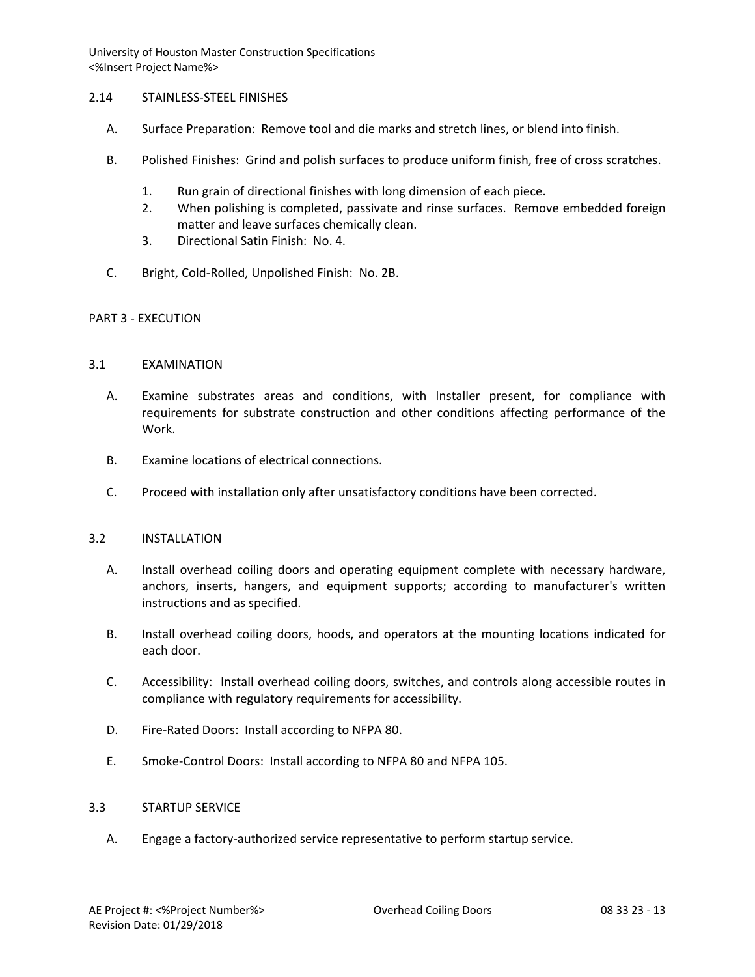### 2.14 STAINLESS-STEEL FINISHES

- A. Surface Preparation: Remove tool and die marks and stretch lines, or blend into finish.
- B. Polished Finishes: Grind and polish surfaces to produce uniform finish, free of cross scratches.
	- 1. Run grain of directional finishes with long dimension of each piece.
	- 2. When polishing is completed, passivate and rinse surfaces. Remove embedded foreign matter and leave surfaces chemically clean.
	- 3. Directional Satin Finish: No. 4.
- C. Bright, Cold-Rolled, Unpolished Finish: No. 2B.

#### PART 3 - EXECUTION

#### 3.1 EXAMINATION

- A. Examine substrates areas and conditions, with Installer present, for compliance with requirements for substrate construction and other conditions affecting performance of the Work.
- B. Examine locations of electrical connections.
- C. Proceed with installation only after unsatisfactory conditions have been corrected.

#### 3.2 INSTALLATION

- A. Install overhead coiling doors and operating equipment complete with necessary hardware, anchors, inserts, hangers, and equipment supports; according to manufacturer's written instructions and as specified.
- B. Install overhead coiling doors, hoods, and operators at the mounting locations indicated for each door.
- C. Accessibility: Install overhead coiling doors, switches, and controls along accessible routes in compliance with regulatory requirements for accessibility.
- D. Fire-Rated Doors: Install according to NFPA 80.
- E. Smoke-Control Doors: Install according to NFPA 80 and NFPA 105.

#### 3.3 STARTUP SERVICE

A. Engage a factory-authorized service representative to perform startup service.